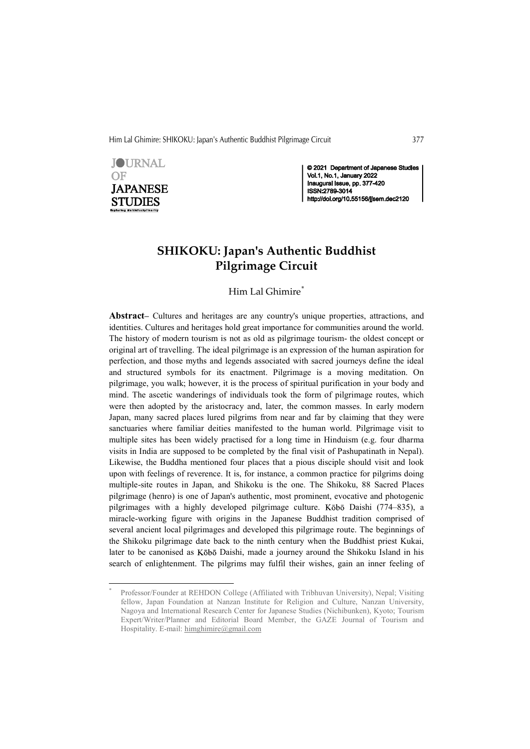Him Lal Ghimire: SHIKOKU: Japan's Authentic Buddhist Pilgrimage Circuit 377



<u> Andrew Maria (1989)</u>

© 2021 Department of Japanese Studies Vol.1, No.1, January 2022<br>Inaugural Issue, pp. 377-420 ISSN:2789-3014 http://doi.org/10.55156/jjsem.dec2120

# SHIKOKU: Japan's Authentic Buddhist Pilgrimage Circuit

Him Lal Ghimire<sup>\*</sup>

Abstract– Cultures and heritages are any country's unique properties, attractions, and identities. Cultures and heritages hold great importance for communities around the world. The history of modern tourism is not as old as pilgrimage tourism- the oldest concept or original art of travelling. The ideal pilgrimage is an expression of the human aspiration for perfection, and those myths and legends associated with sacred journeys define the ideal and structured symbols for its enactment. Pilgrimage is a moving meditation. On pilgrimage, you walk; however, it is the process of spiritual purification in your body and mind. The ascetic wanderings of individuals took the form of pilgrimage routes, which were then adopted by the aristocracy and, later, the common masses. In early modern Japan, many sacred places lured pilgrims from near and far by claiming that they were sanctuaries where familiar deities manifested to the human world. Pilgrimage visit to multiple sites has been widely practised for a long time in Hinduism (e.g. four dharma visits in India are supposed to be completed by the final visit of Pashupatinath in Nepal). Likewise, the Buddha mentioned four places that a pious disciple should visit and look upon with feelings of reverence. It is, for instance, a common practice for pilgrims doing multiple-site routes in Japan, and Shikoku is the one. The Shikoku, 88 Sacred Places pilgrimage (henro) is one of Japan's authentic, most prominent, evocative and photogenic pilgrimages with a highly developed pilgrimage culture. Kōbō Daishi (774–835), a miracle-working figure with origins in the Japanese Buddhist tradition comprised of several ancient local pilgrimages and developed this pilgrimage route. The beginnings of the Shikoku pilgrimage date back to the ninth century when the Buddhist priest Kukai, later to be canonised as Kōbō Daishi, made a journey around the Shikoku Island in his search of enlightenment. The pilgrims may fulfil their wishes, gain an inner feeling of

Professor/Founder at REHDON College (Affiliated with Tribhuvan University), Nepal; Visiting fellow, Japan Foundation at Nanzan Institute for Religion and Culture, Nanzan University, Nagoya and International Research Center for Japanese Studies (Nichibunken), Kyoto; Tourism Expert/Writer/Planner and Editorial Board Member, the GAZE Journal of Tourism and Hospitality. E-mail: himghimire@gmail.com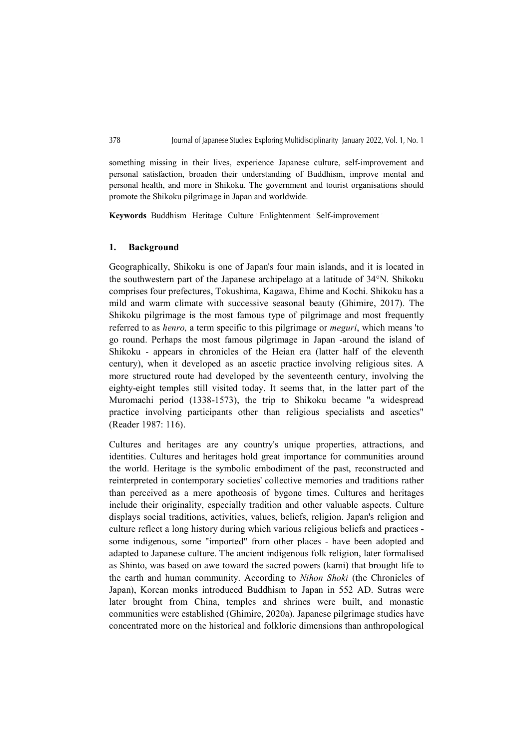something missing in their lives, experience Japanese culture, self-improvement and personal satisfaction, broaden their understanding of Buddhism, improve mental and personal health, and more in Shikoku. The government and tourist organisations should promote the Shikoku pilgrimage in Japan and worldwide.

Keywords Buddhism Heritage Culture Enlightenment Self-improvement

# 1. Background

Geographically, Shikoku is one of Japan's four main islands, and it is located in the southwestern part of the Japanese archipelago at a latitude of 34°N. Shikoku comprises four prefectures, Tokushima, Kagawa, Ehime and Kochi. Shikoku has a mild and warm climate with successive seasonal beauty (Ghimire, 2017). The Shikoku pilgrimage is the most famous type of pilgrimage and most frequently referred to as henro, a term specific to this pilgrimage or meguri, which means 'to go round. Perhaps the most famous pilgrimage in Japan -around the island of Shikoku - appears in chronicles of the Heian era (latter half of the eleventh century), when it developed as an ascetic practice involving religious sites. A more structured route had developed by the seventeenth century, involving the eighty-eight temples still visited today. It seems that, in the latter part of the Muromachi period (1338-1573), the trip to Shikoku became "a widespread practice involving participants other than religious specialists and ascetics" (Reader 1987: 116).

Cultures and heritages are any country's unique properties, attractions, and identities. Cultures and heritages hold great importance for communities around the world. Heritage is the symbolic embodiment of the past, reconstructed and reinterpreted in contemporary societies' collective memories and traditions rather than perceived as a mere apotheosis of bygone times. Cultures and heritages include their originality, especially tradition and other valuable aspects. Culture displays social traditions, activities, values, beliefs, religion. Japan's religion and culture reflect a long history during which various religious beliefs and practices some indigenous, some "imported" from other places - have been adopted and adapted to Japanese culture. The ancient indigenous folk religion, later formalised as Shinto, was based on awe toward the sacred powers (kami) that brought life to the earth and human community. According to Nihon Shoki (the Chronicles of Japan), Korean monks introduced Buddhism to Japan in 552 AD. Sutras were later brought from China, temples and shrines were built, and monastic communities were established (Ghimire, 2020a). Japanese pilgrimage studies have concentrated more on the historical and folkloric dimensions than anthropological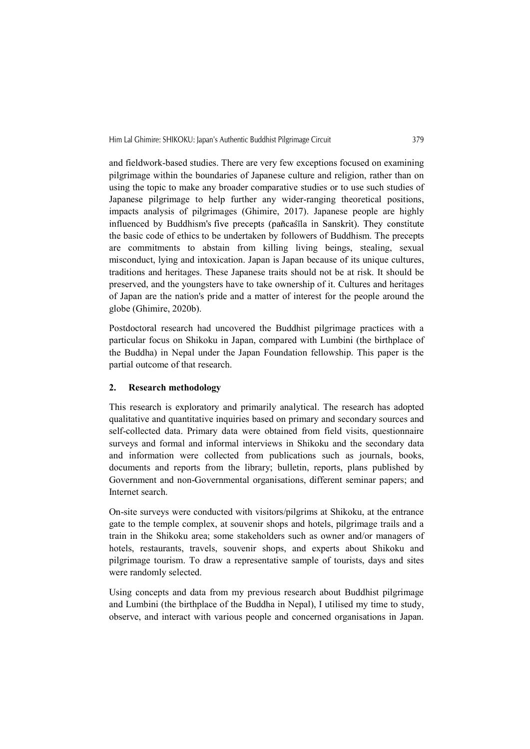and fieldwork-based studies. There are very few exceptions focused on examining pilgrimage within the boundaries of Japanese culture and religion, rather than on using the topic to make any broader comparative studies or to use such studies of Japanese pilgrimage to help further any wider-ranging theoretical positions, impacts analysis of pilgrimages (Ghimire, 2017). Japanese people are highly influenced by Buddhism's five precepts (pañcaśīla in Sanskrit). They constitute the basic code of ethics to be undertaken by followers of Buddhism. The precepts are commitments to abstain from killing living beings, stealing, sexual misconduct, lying and intoxication. Japan is Japan because of its unique cultures, traditions and heritages. These Japanese traits should not be at risk. It should be preserved, and the youngsters have to take ownership of it. Cultures and heritages of Japan are the nation's pride and a matter of interest for the people around the globe (Ghimire, 2020b).

Postdoctoral research had uncovered the Buddhist pilgrimage practices with a particular focus on Shikoku in Japan, compared with Lumbini (the birthplace of the Buddha) in Nepal under the Japan Foundation fellowship. This paper is the partial outcome of that research.

# 2. Research methodology

This research is exploratory and primarily analytical. The research has adopted qualitative and quantitative inquiries based on primary and secondary sources and self-collected data. Primary data were obtained from field visits, questionnaire surveys and formal and informal interviews in Shikoku and the secondary data and information were collected from publications such as journals, books, documents and reports from the library; bulletin, reports, plans published by Government and non-Governmental organisations, different seminar papers; and Internet search.

On-site surveys were conducted with visitors/pilgrims at Shikoku, at the entrance gate to the temple complex, at souvenir shops and hotels, pilgrimage trails and a train in the Shikoku area; some stakeholders such as owner and/or managers of hotels, restaurants, travels, souvenir shops, and experts about Shikoku and pilgrimage tourism. To draw a representative sample of tourists, days and sites were randomly selected.

Using concepts and data from my previous research about Buddhist pilgrimage and Lumbini (the birthplace of the Buddha in Nepal), I utilised my time to study, observe, and interact with various people and concerned organisations in Japan.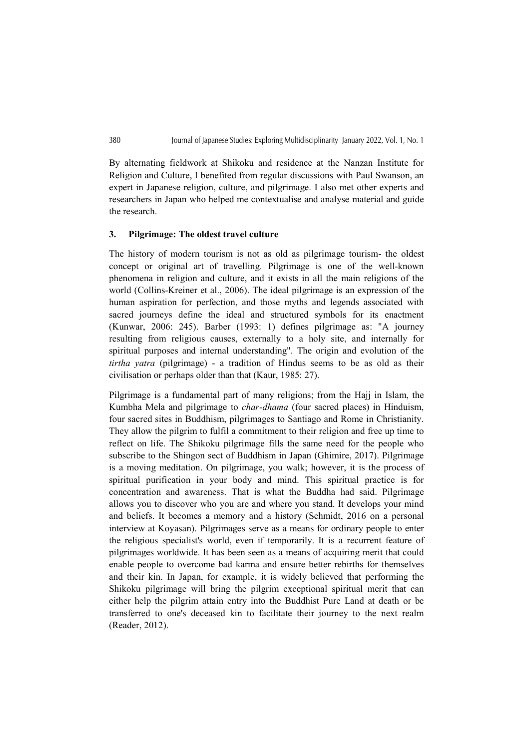By alternating fieldwork at Shikoku and residence at the Nanzan Institute for Religion and Culture, I benefited from regular discussions with Paul Swanson, an expert in Japanese religion, culture, and pilgrimage. I also met other experts and researchers in Japan who helped me contextualise and analyse material and guide the research.

#### 3. Pilgrimage: The oldest travel culture

The history of modern tourism is not as old as pilgrimage tourism- the oldest concept or original art of travelling. Pilgrimage is one of the well-known phenomena in religion and culture, and it exists in all the main religions of the world (Collins-Kreiner et al., 2006). The ideal pilgrimage is an expression of the human aspiration for perfection, and those myths and legends associated with sacred journeys define the ideal and structured symbols for its enactment (Kunwar, 2006: 245). Barber (1993: 1) defines pilgrimage as: "A journey resulting from religious causes, externally to a holy site, and internally for spiritual purposes and internal understanding". The origin and evolution of the tirtha yatra (pilgrimage) - a tradition of Hindus seems to be as old as their civilisation or perhaps older than that (Kaur, 1985: 27).

Pilgrimage is a fundamental part of many religions; from the Hajj in Islam, the Kumbha Mela and pilgrimage to char-dhama (four sacred places) in Hinduism, four sacred sites in Buddhism, pilgrimages to Santiago and Rome in Christianity. They allow the pilgrim to fulfil a commitment to their religion and free up time to reflect on life. The Shikoku pilgrimage fills the same need for the people who subscribe to the Shingon sect of Buddhism in Japan (Ghimire, 2017). Pilgrimage is a moving meditation. On pilgrimage, you walk; however, it is the process of spiritual purification in your body and mind. This spiritual practice is for concentration and awareness. That is what the Buddha had said. Pilgrimage allows you to discover who you are and where you stand. It develops your mind and beliefs. It becomes a memory and a history (Schmidt, 2016 on a personal interview at Koyasan). Pilgrimages serve as a means for ordinary people to enter the religious specialist's world, even if temporarily. It is a recurrent feature of pilgrimages worldwide. It has been seen as a means of acquiring merit that could enable people to overcome bad karma and ensure better rebirths for themselves and their kin. In Japan, for example, it is widely believed that performing the Shikoku pilgrimage will bring the pilgrim exceptional spiritual merit that can either help the pilgrim attain entry into the Buddhist Pure Land at death or be transferred to one's deceased kin to facilitate their journey to the next realm (Reader, 2012).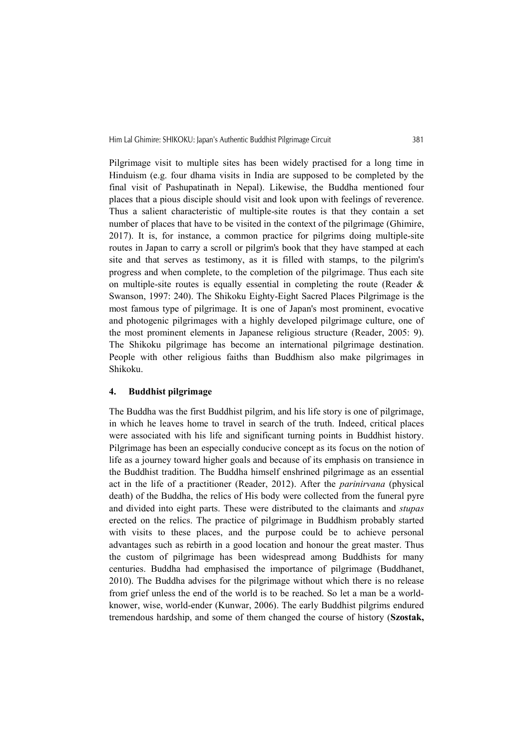Pilgrimage visit to multiple sites has been widely practised for a long time in Hinduism (e.g. four dhama visits in India are supposed to be completed by the final visit of Pashupatinath in Nepal). Likewise, the Buddha mentioned four places that a pious disciple should visit and look upon with feelings of reverence. Thus a salient characteristic of multiple-site routes is that they contain a set number of places that have to be visited in the context of the pilgrimage (Ghimire, 2017). It is, for instance, a common practice for pilgrims doing multiple-site routes in Japan to carry a scroll or pilgrim's book that they have stamped at each site and that serves as testimony, as it is filled with stamps, to the pilgrim's progress and when complete, to the completion of the pilgrimage. Thus each site on multiple-site routes is equally essential in completing the route (Reader & Swanson, 1997: 240). The Shikoku Eighty-Eight Sacred Places Pilgrimage is the most famous type of pilgrimage. It is one of Japan's most prominent, evocative and photogenic pilgrimages with a highly developed pilgrimage culture, one of the most prominent elements in Japanese religious structure (Reader, 2005: 9). The Shikoku pilgrimage has become an international pilgrimage destination. People with other religious faiths than Buddhism also make pilgrimages in Shikoku.

#### 4. Buddhist pilgrimage

The Buddha was the first Buddhist pilgrim, and his life story is one of pilgrimage, in which he leaves home to travel in search of the truth. Indeed, critical places were associated with his life and significant turning points in Buddhist history. Pilgrimage has been an especially conducive concept as its focus on the notion of life as a journey toward higher goals and because of its emphasis on transience in the Buddhist tradition. The Buddha himself enshrined pilgrimage as an essential act in the life of a practitioner (Reader, 2012). After the parinirvana (physical death) of the Buddha, the relics of His body were collected from the funeral pyre and divided into eight parts. These were distributed to the claimants and stupas erected on the relics. The practice of pilgrimage in Buddhism probably started with visits to these places, and the purpose could be to achieve personal advantages such as rebirth in a good location and honour the great master. Thus the custom of pilgrimage has been widespread among Buddhists for many centuries. Buddha had emphasised the importance of pilgrimage (Buddhanet, 2010). The Buddha advises for the pilgrimage without which there is no release from grief unless the end of the world is to be reached. So let a man be a worldknower, wise, world-ender (Kunwar, 2006). The early Buddhist pilgrims endured tremendous hardship, and some of them changed the course of history (Szostak,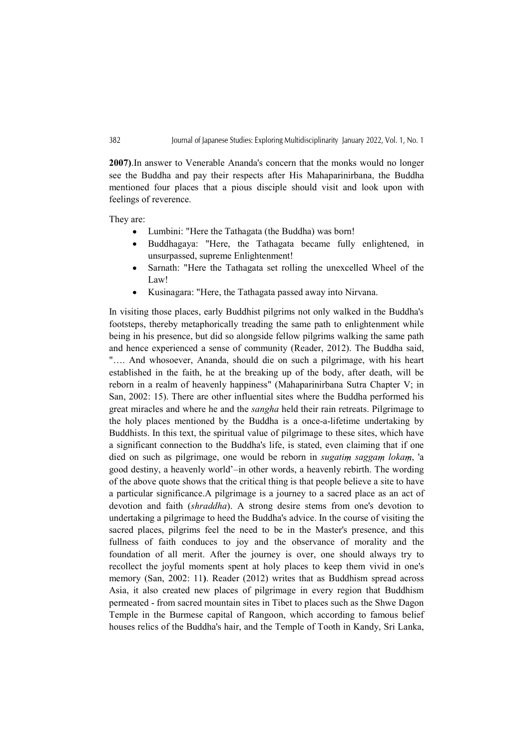2007).In answer to Venerable Ananda's concern that the monks would no longer see the Buddha and pay their respects after His Mahaparinirbana, the Buddha mentioned four places that a pious disciple should visit and look upon with feelings of reverence.

They are:

- Lumbini: "Here the Tathagata (the Buddha) was born!
- Buddhagaya: "Here, the Tathagata became fully enlightened, in unsurpassed, supreme Enlightenment!
- Sarnath: "Here the Tathagata set rolling the unexcelled Wheel of the  $\bullet$ Law!
- $\bullet$ Kusinagara: "Here, the Tathagata passed away into Nirvana.

In visiting those places, early Buddhist pilgrims not only walked in the Buddha's footsteps, thereby metaphorically treading the same path to enlightenment while being in his presence, but did so alongside fellow pilgrims walking the same path and hence experienced a sense of community (Reader, 2012). The Buddha said, "…. And whosoever, Ananda, should die on such a pilgrimage, with his heart established in the faith, he at the breaking up of the body, after death, will be reborn in a realm of heavenly happiness" (Mahaparinirbana Sutra Chapter V; in San, 2002: 15). There are other influential sites where the Buddha performed his great miracles and where he and the sangha held their rain retreats. Pilgrimage to the holy places mentioned by the Buddha is a once-a-lifetime undertaking by Buddhists. In this text, the spiritual value of pilgrimage to these sites, which have a significant connection to the Buddha's life, is stated, even claiming that if one died on such as pilgrimage, one would be reborn in sugatim saggam lokam, 'a good destiny, a heavenly world'–in other words, a heavenly rebirth. The wording of the above quote shows that the critical thing is that people believe a site to have a particular significance.A pilgrimage is a journey to a sacred place as an act of devotion and faith *(shraddha)*. A strong desire stems from one's devotion to undertaking a pilgrimage to heed the Buddha's advice. In the course of visiting the sacred places, pilgrims feel the need to be in the Master's presence, and this fullness of faith conduces to joy and the observance of morality and the foundation of all merit. After the journey is over, one should always try to recollect the joyful moments spent at holy places to keep them vivid in one's memory (San, 2002: 11). Reader (2012) writes that as Buddhism spread across Asia, it also created new places of pilgrimage in every region that Buddhism permeated - from sacred mountain sites in Tibet to places such as the Shwe Dagon Temple in the Burmese capital of Rangoon, which according to famous belief houses relics of the Buddha's hair, and the Temple of Tooth in Kandy, Sri Lanka,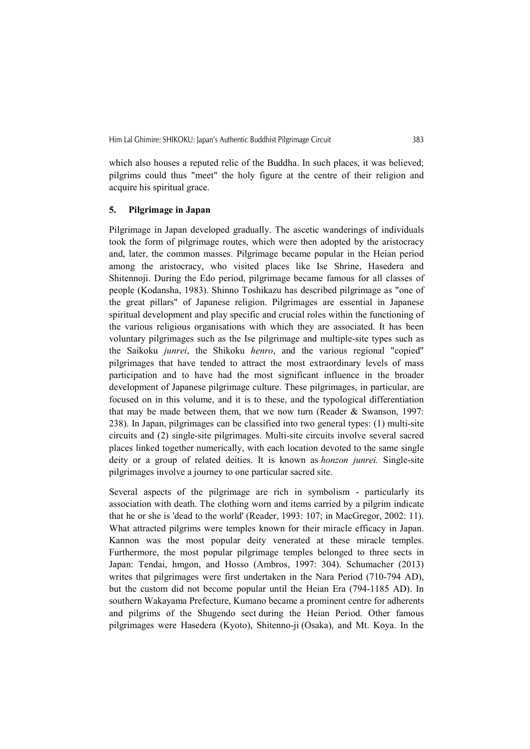which also houses a reputed relic of the Buddha. In such places, it was believed; pilgrims could thus "meet" the holy figure at the centre of their religion and acquire his spiritual grace.

# 5. Pilgrimage in Japan

Pilgrimage in Japan developed gradually. The ascetic wanderings of individuals took the form of pilgrimage routes, which were then adopted by the aristocracy and, later, the common masses. Pilgrimage became popular in the Heian period among the aristocracy, who visited places like Ise Shrine, Hasedera and Shitennoji. During the Edo period, pilgrimage became famous for all classes of people (Kodansha, 1983). Shinno Toshikazu has described pilgrimage as "one of the great pillars" of Japanese religion. Pilgrimages are essential in Japanese spiritual development and play specific and crucial roles within the functioning of the various religious organisations with which they are associated. It has been voluntary pilgrimages such as the Ise pilgrimage and multiple-site types such as the Saikoku junrei, the Shikoku henro, and the various regional "copied" pilgrimages that have tended to attract the most extraordinary levels of mass participation and to have had the most significant influence in the broader development of Japanese pilgrimage culture. These pilgrimages, in particular, are focused on in this volume, and it is to these, and the typological differentiation that may be made between them, that we now turn (Reader & Swanson, 1997: 238). In Japan, pilgrimages can be classified into two general types: (1) multi-site circuits and (2) single-site pilgrimages. Multi-site circuits involve several sacred places linked together numerically, with each location devoted to the same single deity or a group of related deities. It is known as honzon junrei. Single-site pilgrimages involve a journey to one particular sacred site.

Several aspects of the pilgrimage are rich in symbolism - particularly its association with death. The clothing worn and items carried by a pilgrim indicate that he or she is 'dead to the world' (Reader, 1993: 107; in MacGregor, 2002: 11). What attracted pilgrims were temples known for their miracle efficacy in Japan. Kannon was the most popular deity venerated at these miracle temples. Furthermore, the most popular pilgrimage temples belonged to three sects in Japan: Tendai, hmgon, and Hosso (Ambros, 1997: 304). Schumacher (2013) writes that pilgrimages were first undertaken in the Nara Period (710-794 AD), but the custom did not become popular until the Heian Era (794-1185 AD). In southern Wakayama Prefecture, Kumano became a prominent centre for adherents and pilgrims of the Shugendo sect during the Heian Period. Other famous pilgrimages were Hasedera (Kyoto), Shitenno-ji (Osaka), and Mt. Koya. In the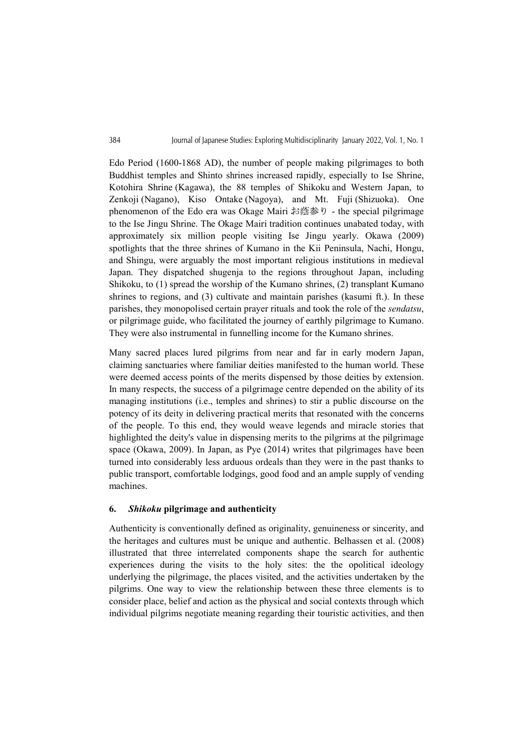Edo Period (1600-1868 AD), the number of people making pilgrimages to both Buddhist temples and Shinto shrines increased rapidly, especially to Ise Shrine, Kotohira Shrine (Kagawa), the 88 temples of Shikoku and Western Japan, to Zenkoji (Nagano), Kiso Ontake (Nagoya), and Mt. Fuji (Shizuoka). One phenomenon of the Edo era was Okage Mairi お蔭参り - the special pilgrimage to the Ise Jingu Shrine. The Okage Mairi tradition continues unabated today, with approximately six million people visiting Ise Jingu yearly. Okawa (2009) spotlights that the three shrines of Kumano in the Kii Peninsula, Nachi, Hongu, and Shingu, were arguably the most important religious institutions in medieval Japan. They dispatched shugenja to the regions throughout Japan, including Shikoku, to (1) spread the worship of the Kumano shrines, (2) transplant Kumano shrines to regions, and (3) cultivate and maintain parishes (kasumi ft.). In these parishes, they monopolised certain prayer rituals and took the role of the *sendatsu*, or pilgrimage guide, who facilitated the journey of earthly pilgrimage to Kumano. They were also instrumental in funnelling income for the Kumano shrines.

Many sacred places lured pilgrims from near and far in early modern Japan, claiming sanctuaries where familiar deities manifested to the human world. These were deemed access points of the merits dispensed by those deities by extension. In many respects, the success of a pilgrimage centre depended on the ability of its managing institutions (i.e., temples and shrines) to stir a public discourse on the potency of its deity in delivering practical merits that resonated with the concerns of the people. To this end, they would weave legends and miracle stories that highlighted the deity's value in dispensing merits to the pilgrims at the pilgrimage space (Okawa, 2009). In Japan, as Pye (2014) writes that pilgrimages have been turned into considerably less arduous ordeals than they were in the past thanks to public transport, comfortable lodgings, good food and an ample supply of vending machines.

#### 6. Shikoku pilgrimage and authenticity

Authenticity is conventionally defined as originality, genuineness or sincerity, and the heritages and cultures must be unique and authentic. Belhassen et al. (2008) illustrated that three interrelated components shape the search for authentic experiences during the visits to the holy sites: the the opolitical ideology underlying the pilgrimage, the places visited, and the activities undertaken by the pilgrims. One way to view the relationship between these three elements is to consider place, belief and action as the physical and social contexts through which individual pilgrims negotiate meaning regarding their touristic activities, and then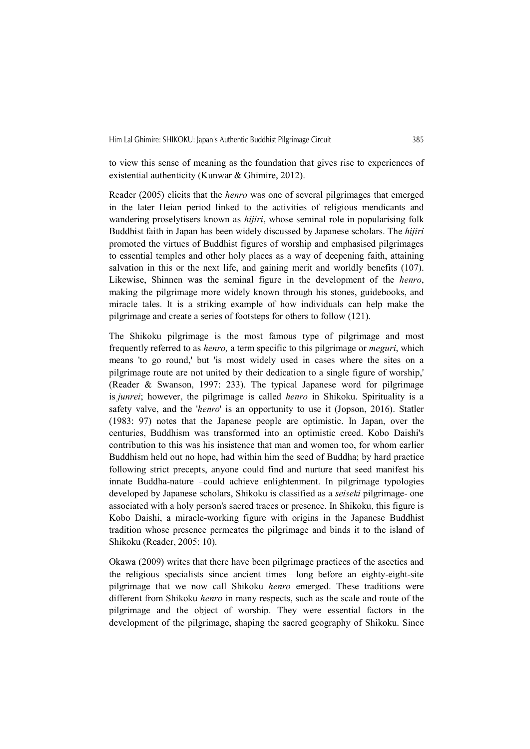to view this sense of meaning as the foundation that gives rise to experiences of existential authenticity (Kunwar & Ghimire, 2012).

Reader (2005) elicits that the henro was one of several pilgrimages that emerged in the later Heian period linked to the activities of religious mendicants and wandering proselytisers known as *hijiri*, whose seminal role in popularising folk Buddhist faith in Japan has been widely discussed by Japanese scholars. The hijiri promoted the virtues of Buddhist figures of worship and emphasised pilgrimages to essential temples and other holy places as a way of deepening faith, attaining salvation in this or the next life, and gaining merit and worldly benefits (107). Likewise, Shinnen was the seminal figure in the development of the *henro*, making the pilgrimage more widely known through his stones, guidebooks, and miracle tales. It is a striking example of how individuals can help make the pilgrimage and create a series of footsteps for others to follow (121).

The Shikoku pilgrimage is the most famous type of pilgrimage and most frequently referred to as *henro*, a term specific to this pilgrimage or *meguri*, which means 'to go round,' but 'is most widely used in cases where the sites on a pilgrimage route are not united by their dedication to a single figure of worship,' (Reader & Swanson, 1997: 233). The typical Japanese word for pilgrimage is *junrei*; however, the pilgrimage is called *henro* in Shikoku. Spirituality is a safety valve, and the 'henro' is an opportunity to use it (Jopson, 2016). Statler (1983: 97) notes that the Japanese people are optimistic. In Japan, over the centuries, Buddhism was transformed into an optimistic creed. Kobo Daishi's contribution to this was his insistence that man and women too, for whom earlier Buddhism held out no hope, had within him the seed of Buddha; by hard practice following strict precepts, anyone could find and nurture that seed manifest his innate Buddha-nature –could achieve enlightenment. In pilgrimage typologies developed by Japanese scholars, Shikoku is classified as a *seiseki* pilgrimage- one associated with a holy person's sacred traces or presence. In Shikoku, this figure is Kobo Daishi, a miracle-working figure with origins in the Japanese Buddhist tradition whose presence permeates the pilgrimage and binds it to the island of Shikoku (Reader, 2005: 10).

Okawa (2009) writes that there have been pilgrimage practices of the ascetics and the religious specialists since ancient times—long before an eighty-eight-site pilgrimage that we now call Shikoku henro emerged. These traditions were different from Shikoku henro in many respects, such as the scale and route of the pilgrimage and the object of worship. They were essential factors in the development of the pilgrimage, shaping the sacred geography of Shikoku. Since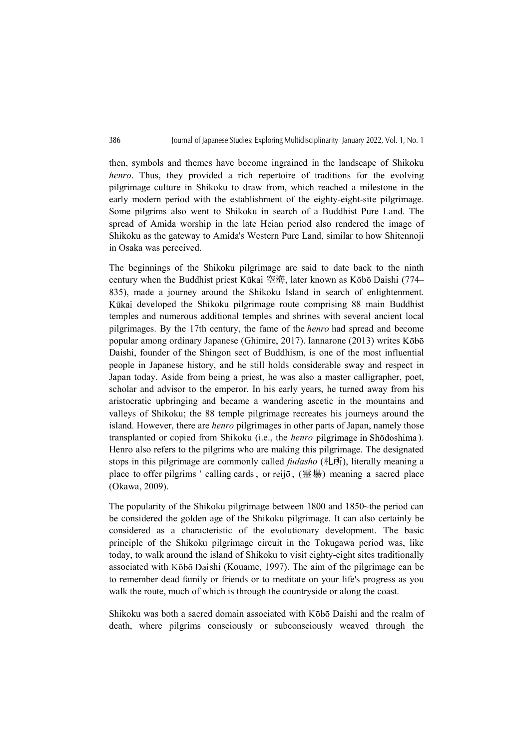then, symbols and themes have become ingrained in the landscape of Shikoku henro. Thus, they provided a rich repertoire of traditions for the evolving pilgrimage culture in Shikoku to draw from, which reached a milestone in the early modern period with the establishment of the eighty-eight-site pilgrimage. Some pilgrims also went to Shikoku in search of a Buddhist Pure Land. The spread of Amida worship in the late Heian period also rendered the image of Shikoku as the gateway to Amida's Western Pure Land, similar to how Shitennoji in Osaka was perceived.

The beginnings of the Shikoku pilgrimage are said to date back to the ninth century when the Buddhist priest Kūkai 空海, later known as Kōbō Daishi (774– 835), made a journey around the Shikoku Island in search of enlightenment. Kūkai developed the Shikoku pilgrimage route comprising 88 main Buddhist temples and numerous additional temples and shrines with several ancient local pilgrimages. By the 17th century, the fame of the henro had spread and become popular among ordinary Japanese (Ghimire, 2017). Iannarone (2013) writes Daishi, founder of the Shingon sect of Buddhism, is one of the most influential people in Japanese history, and he still holds considerable sway and respect in Japan today. Aside from being a priest, he was also a master calligrapher, poet, scholar and advisor to the emperor. In his early years, he turned away from his aristocratic upbringing and became a wandering ascetic in the mountains and valleys of Shikoku; the 88 temple pilgrimage recreates his journeys around the island. However, there are henro pilgrimages in other parts of Japan, namely those transplanted or copied from Shikoku (i.e., the *henro* pilgrimage in Shōdoshima). Henro also refers to the pilgrims who are making this pilgrimage. The designated stops in this pilgrimage are commonly called *fudasho* ( $\text{L}(\overline{\text{H}})$ ), literally meaning a in Osaka was perceived.<br>The beginnings of the Shikoku pilgrimage are said to date back to the ninth<br>century when the Bhodhist priest Kökai  $\mathbb{Z}_2^{\times}$ ii, later known as Köbö Daishi (774–<br>635), made a journey around the (Okawa, 2009).

The popularity of the Shikoku pilgrimage between 1800 and 1850~the period can be considered the golden age of the Shikoku pilgrimage. It can also certainly be considered as a characteristic of the evolutionary development. The basic principle of the Shikoku pilgrimage circuit in the Tokugawa period was, like today, to walk around the island of Shikoku to visit eighty-eight sites traditionally associated with Kōbō Daishi (Kouame, 1997). The aim of the pilgrimage can be to remember dead family or friends or to meditate on your life's progress as you walk the route, much of which is through the countryside or along the coast.

Shikoku was both a sacred domain associated with Kōbō Daishi and the realm of death, where pilgrims consciously or subconsciously weaved through the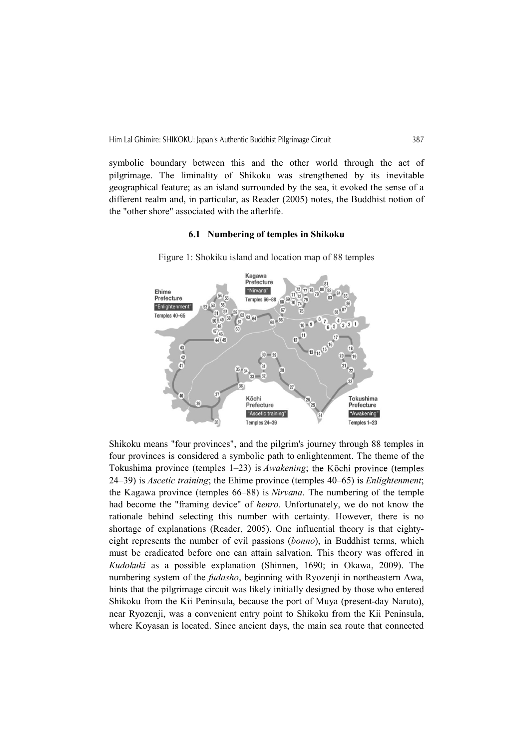symbolic boundary between this and the other world through the act of pilgrimage. The liminality of Shikoku was strengthened by its inevitable geographical feature; as an island surrounded by the sea, it evoked the sense of a different realm and, in particular, as Reader (2005) notes, the Buddhist notion of the "other shore" associated with the afterlife.

# 6.1 Numbering of temples in Shikoku



Figure 1: Shokiku island and location map of 88 temples

Shikoku means "four provinces", and the pilgrim's journey through 88 temples in four provinces is considered a symbolic path to enlightenment. The theme of the Tokushima province (temples  $1-23$ ) is *Awakening*; the Kōchi province (temples 24–39) is Ascetic training; the Ehime province (temples 40–65) is Enlightenment; the Kagawa province (temples 66–88) is Nirvana. The numbering of the temple had become the "framing device" of henro. Unfortunately, we do not know the rationale behind selecting this number with certainty. However, there is no shortage of explanations (Reader, 2005). One influential theory is that eightyeight represents the number of evil passions (bonno), in Buddhist terms, which must be eradicated before one can attain salvation. This theory was offered in Kudokuki as a possible explanation (Shinnen, 1690; in Okawa, 2009). The numbering system of the *fudasho*, beginning with Ryozenji in northeastern Awa, hints that the pilgrimage circuit was likely initially designed by those who entered Shikoku from the Kii Peninsula, because the port of Muya (present-day Naruto), near Ryozenji, was a convenient entry point to Shikoku from the Kii Peninsula, where Koyasan is located. Since ancient days, the main sea route that connected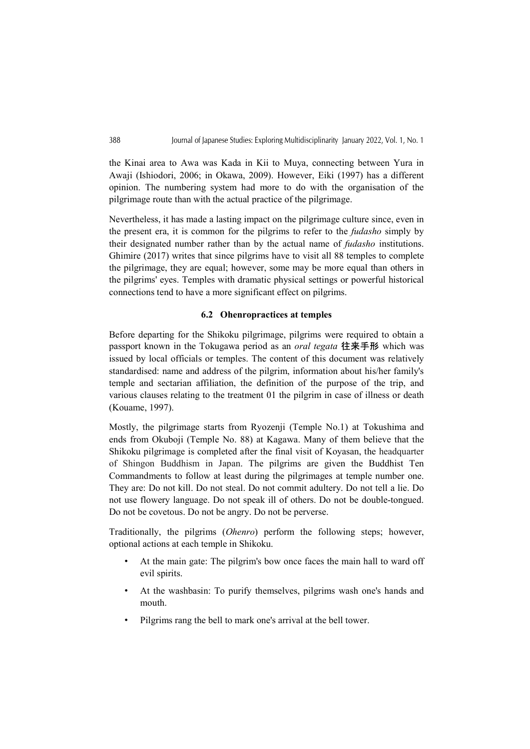the Kinai area to Awa was Kada in Kii to Muya, connecting between Yura in Awaji (Ishiodori, 2006; in Okawa, 2009). However, Eiki (1997) has a different opinion. The numbering system had more to do with the organisation of the pilgrimage route than with the actual practice of the pilgrimage.

Nevertheless, it has made a lasting impact on the pilgrimage culture since, even in the present era, it is common for the pilgrims to refer to the fudasho simply by their designated number rather than by the actual name of fudasho institutions. Ghimire (2017) writes that since pilgrims have to visit all 88 temples to complete the pilgrimage, they are equal; however, some may be more equal than others in the pilgrims' eyes. Temples with dramatic physical settings or powerful historical connections tend to have a more significant effect on pilgrims.

# 6.2 Ohenropractices at temples

Before departing for the Shikoku pilgrimage, pilgrims were required to obtain a passport known in the Tokugawa period as an *oral tegata* 往来手形 which was issued by local officials or temples. The content of this document was relatively standardised: name and address of the pilgrim, information about his/her family's temple and sectarian affiliation, the definition of the purpose of the trip, and various clauses relating to the treatment 01 the pilgrim in case of illness or death (Kouame, 1997).

Mostly, the pilgrimage starts from Ryozenji (Temple No.1) at Tokushima and ends from Okuboji (Temple No. 88) at Kagawa. Many of them believe that the Shikoku pilgrimage is completed after the final visit of Koyasan, the headquarter of Shingon Buddhism in Japan. The pilgrims are given the Buddhist Ten Commandments to follow at least during the pilgrimages at temple number one. They are: Do not kill. Do not steal. Do not commit adultery. Do not tell a lie. Do not use flowery language. Do not speak ill of others. Do not be double-tongued. Do not be covetous. Do not be angry. Do not be perverse.

Traditionally, the pilgrims (Ohenro) perform the following steps; however, optional actions at each temple in Shikoku.

- At the main gate: The pilgrim's bow once faces the main hall to ward off evil spirits.
- At the washbasin: To purify themselves, pilgrims wash one's hands and mouth.
- Pilgrims rang the bell to mark one's arrival at the bell tower.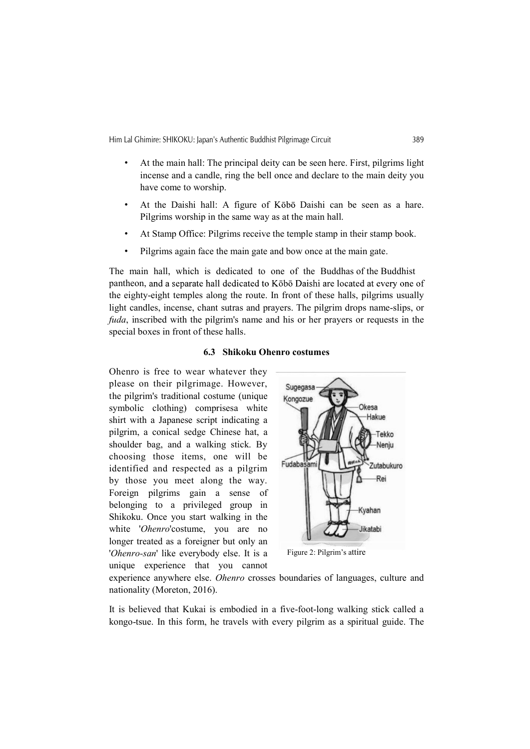Him Lal Ghimire: SHIKOKU: Japan's Authentic Buddhist Pilgrimage Circuit 389

- At the main hall: The principal deity can be seen here. First, pilgrims light incense and a candle, ring the bell once and declare to the main deity you have come to worship.
- At the Daishi hall: A figure of Kobo Daishi can be seen as a hare. Pilgrims worship in the same way as at the main hall.
- At Stamp Office: Pilgrims receive the temple stamp in their stamp book.
- Pilgrims again face the main gate and bow once at the main gate.

The main hall, which is dedicated to one of the Buddhas of the Buddhist pantheon, and a separate hall dedicated to Kōbō Daishi are located at every one of the eighty-eight temples along the route. In front of these halls, pilgrims usually light candles, incense, chant sutras and prayers. The pilgrim drops name-slips, or fuda, inscribed with the pilgrim's name and his or her prayers or requests in the special boxes in front of these halls.

#### 6.3 Shikoku Ohenro costumes

Ohenro is free to wear whatever they please on their pilgrimage. However, Sugegasa the pilgrim's traditional costume (unique Kongozue symbolic clothing) comprisesa white shirt with a Japanese script indicating a pilgrim, a conical sedge Chinese hat, a shoulder bag, and a walking stick. By choosing those items, one will be identified and respected as a pilgrim by those you meet along the way. Foreign pilgrims gain a sense of belonging to a privileged group in Shikoku. Once you start walking in the white 'Ohenro'costume, you are no longer treated as a foreigner but only an 'Ohenro-san' like everybody else. It is a unique experience that you cannot



Figure 2: Pilgrim's attire

experience anywhere else. Ohenro crosses boundaries of languages, culture and nationality (Moreton, 2016).

It is believed that Kukai is embodied in a five-foot-long walking stick called a kongo-tsue. In this form, he travels with every pilgrim as a spiritual guide. The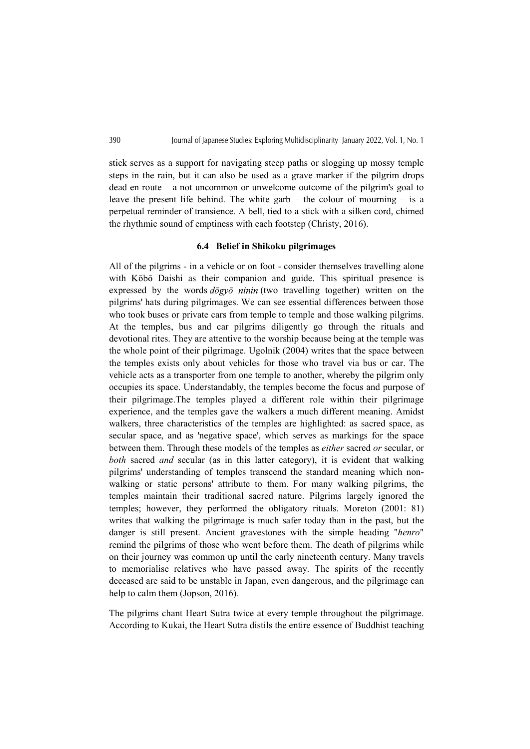stick serves as a support for navigating steep paths or slogging up mossy temple steps in the rain, but it can also be used as a grave marker if the pilgrim drops dead en route – a not uncommon or unwelcome outcome of the pilgrim's goal to leave the present life behind. The white garb  $-$  the colour of mourning  $-$  is a perpetual reminder of transience. A bell, tied to a stick with a silken cord, chimed the rhythmic sound of emptiness with each footstep (Christy, 2016).

#### 6.4 Belief in Shikoku pilgrimages

All of the pilgrims - in a vehicle or on foot - consider themselves travelling alone with Kōbō Daishi as their companion and guide. This spiritual presence is expressed by the words  $d\overline{o} gy\overline{o}$  ninin (two travelling together) written on the pilgrims' hats during pilgrimages. We can see essential differences between those who took buses or private cars from temple to temple and those walking pilgrims. At the temples, bus and car pilgrims diligently go through the rituals and devotional rites. They are attentive to the worship because being at the temple was the whole point of their pilgrimage. Ugolnik (2004) writes that the space between the temples exists only about vehicles for those who travel via bus or car. The vehicle acts as a transporter from one temple to another, whereby the pilgrim only occupies its space. Understandably, the temples become the focus and purpose of their pilgrimage.The temples played a different role within their pilgrimage experience, and the temples gave the walkers a much different meaning. Amidst walkers, three characteristics of the temples are highlighted: as sacred space, as secular space, and as 'negative space', which serves as markings for the space between them. Through these models of the temples as either sacred or secular, or both sacred and secular (as in this latter category), it is evident that walking pilgrims' understanding of temples transcend the standard meaning which nonwalking or static persons' attribute to them. For many walking pilgrims, the temples maintain their traditional sacred nature. Pilgrims largely ignored the temples; however, they performed the obligatory rituals. Moreton (2001: 81) writes that walking the pilgrimage is much safer today than in the past, but the danger is still present. Ancient gravestones with the simple heading "henro" remind the pilgrims of those who went before them. The death of pilgrims while on their journey was common up until the early nineteenth century. Many travels to memorialise relatives who have passed away. The spirits of the recently deceased are said to be unstable in Japan, even dangerous, and the pilgrimage can help to calm them (Jopson, 2016).

The pilgrims chant Heart Sutra twice at every temple throughout the pilgrimage. According to Kukai, the Heart Sutra distils the entire essence of Buddhist teaching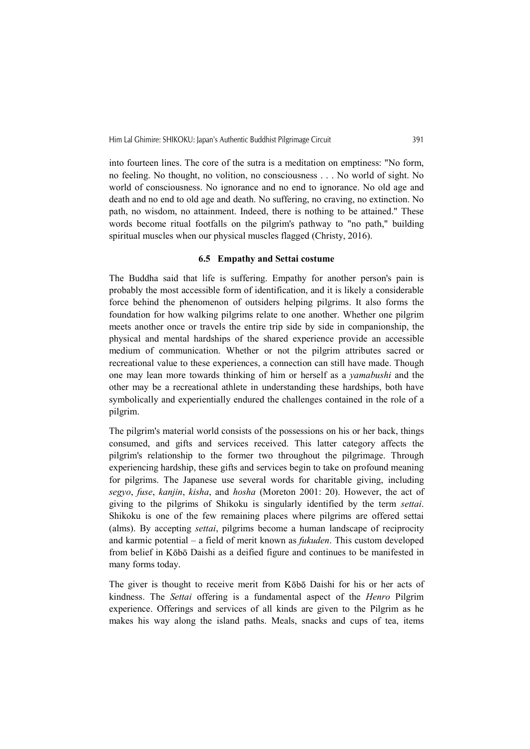into fourteen lines. The core of the sutra is a meditation on emptiness: "No form, no feeling. No thought, no volition, no consciousness . . . No world of sight. No world of consciousness. No ignorance and no end to ignorance. No old age and death and no end to old age and death. No suffering, no craving, no extinction. No path, no wisdom, no attainment. Indeed, there is nothing to be attained." These words become ritual footfalls on the pilgrim's pathway to "no path," building spiritual muscles when our physical muscles flagged (Christy, 2016).

# 6.5 Empathy and Settai costume

The Buddha said that life is suffering. Empathy for another person's pain is probably the most accessible form of identification, and it is likely a considerable force behind the phenomenon of outsiders helping pilgrims. It also forms the foundation for how walking pilgrims relate to one another. Whether one pilgrim meets another once or travels the entire trip side by side in companionship, the physical and mental hardships of the shared experience provide an accessible medium of communication. Whether or not the pilgrim attributes sacred or recreational value to these experiences, a connection can still have made. Though one may lean more towards thinking of him or herself as a yamabushi and the other may be a recreational athlete in understanding these hardships, both have symbolically and experientially endured the challenges contained in the role of a pilgrim.

The pilgrim's material world consists of the possessions on his or her back, things consumed, and gifts and services received. This latter category affects the pilgrim's relationship to the former two throughout the pilgrimage. Through experiencing hardship, these gifts and services begin to take on profound meaning for pilgrims. The Japanese use several words for charitable giving, including segyo, fuse, kanjin, kisha, and hosha (Moreton 2001: 20). However, the act of giving to the pilgrims of Shikoku is singularly identified by the term settai. Shikoku is one of the few remaining places where pilgrims are offered settai (alms). By accepting settai, pilgrims become a human landscape of reciprocity and karmic potential – a field of merit known as fukuden. This custom developed from belief in Kōbō Daishi as a deified figure and continues to be manifested in many forms today.

The giver is thought to receive merit from Kōbō Daishi for his or her acts of kindness. The Settai offering is a fundamental aspect of the Henro Pilgrim experience. Offerings and services of all kinds are given to the Pilgrim as he makes his way along the island paths. Meals, snacks and cups of tea, items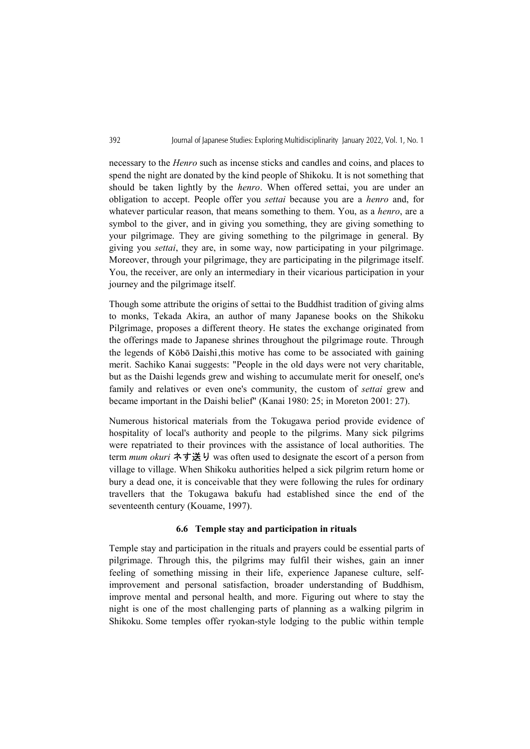necessary to the Henro such as incense sticks and candles and coins, and places to spend the night are donated by the kind people of Shikoku. It is not something that should be taken lightly by the henro. When offered settai, you are under an obligation to accept. People offer you settai because you are a henro and, for whatever particular reason, that means something to them. You, as a *henro*, are a symbol to the giver, and in giving you something, they are giving something to your pilgrimage. They are giving something to the pilgrimage in general. By giving you settai, they are, in some way, now participating in your pilgrimage. Moreover, through your pilgrimage, they are participating in the pilgrimage itself. You, the receiver, are only an intermediary in their vicarious participation in your journey and the pilgrimage itself.

Though some attribute the origins of settai to the Buddhist tradition of giving alms to monks, Tekada Akira, an author of many Japanese books on the Shikoku Pilgrimage, proposes a different theory. He states the exchange originated from the offerings made to Japanese shrines throughout the pilgrimage route. Through the legends of Kōbō Daishi, this motive has come to be associated with gaining merit. Sachiko Kanai suggests: "People in the old days were not very charitable, but as the Daishi legends grew and wishing to accumulate merit for oneself, one's family and relatives or even one's community, the custom of *settai* grew and became important in the Daishi belief" (Kanai 1980: 25; in Moreton 2001: 27).

Numerous historical materials from the Tokugawa period provide evidence of hospitality of local's authority and people to the pilgrims. Many sick pilgrims were repatriated to their provinces with the assistance of local authorities. The term *mum okuri* ネす送り was often used to designate the escort of a person from village to village. When Shikoku authorities helped a sick pilgrim return home or bury a dead one, it is conceivable that they were following the rules for ordinary travellers that the Tokugawa bakufu had established since the end of the seventeenth century (Kouame, 1997).

# 6.6 Temple stay and participation in rituals

Temple stay and participation in the rituals and prayers could be essential parts of pilgrimage. Through this, the pilgrims may fulfil their wishes, gain an inner feeling of something missing in their life, experience Japanese culture, selfimprovement and personal satisfaction, broader understanding of Buddhism, improve mental and personal health, and more. Figuring out where to stay the night is one of the most challenging parts of planning as a walking pilgrim in Shikoku. Some temples offer ryokan-style lodging to the public within temple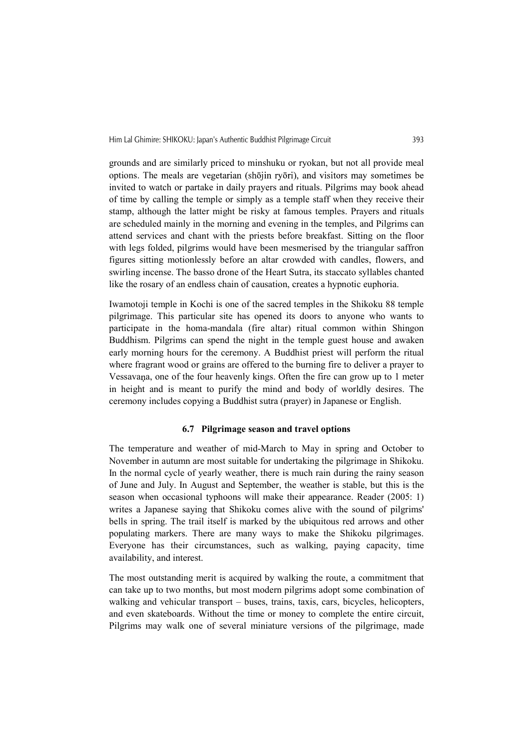grounds and are similarly priced to minshuku or ryokan, but not all provide meal options. The meals are vegetarian (shōjin ryōri), and visitors may sometimes be invited to watch or partake in daily prayers and rituals. Pilgrims may book ahead of time by calling the temple or simply as a temple staff when they receive their stamp, although the latter might be risky at famous temples. Prayers and rituals are scheduled mainly in the morning and evening in the temples, and Pilgrims can attend services and chant with the priests before breakfast. Sitting on the floor with legs folded, pilgrims would have been mesmerised by the triangular saffron figures sitting motionlessly before an altar crowded with candles, flowers, and swirling incense. The basso drone of the Heart Sutra, its staccato syllables chanted like the rosary of an endless chain of causation, creates a hypnotic euphoria.

Iwamotoji temple in Kochi is one of the sacred temples in the Shikoku 88 temple pilgrimage. This particular site has opened its doors to anyone who wants to participate in the homa-mandala (fire altar) ritual common within Shingon Buddhism. Pilgrims can spend the night in the temple guest house and awaken early morning hours for the ceremony. A Buddhist priest will perform the ritual where fragrant wood or grains are offered to the burning fire to deliver a prayer to Vessavana, one of the four heavenly kings. Often the fire can grow up to 1 meter in height and is meant to purify the mind and body of worldly desires. The ceremony includes copying a Buddhist sutra (prayer) in Japanese or English.

# 6.7 Pilgrimage season and travel options

The temperature and weather of mid-March to May in spring and October to November in autumn are most suitable for undertaking the pilgrimage in Shikoku. In the normal cycle of yearly weather, there is much rain during the rainy season of June and July. In August and September, the weather is stable, but this is the season when occasional typhoons will make their appearance. Reader (2005: 1) writes a Japanese saying that Shikoku comes alive with the sound of pilgrims' bells in spring. The trail itself is marked by the ubiquitous red arrows and other populating markers. There are many ways to make the Shikoku pilgrimages. Everyone has their circumstances, such as walking, paying capacity, time availability, and interest.

The most outstanding merit is acquired by walking the route, a commitment that can take up to two months, but most modern pilgrims adopt some combination of walking and vehicular transport – buses, trains, taxis, cars, bicycles, helicopters, and even skateboards. Without the time or money to complete the entire circuit, Pilgrims may walk one of several miniature versions of the pilgrimage, made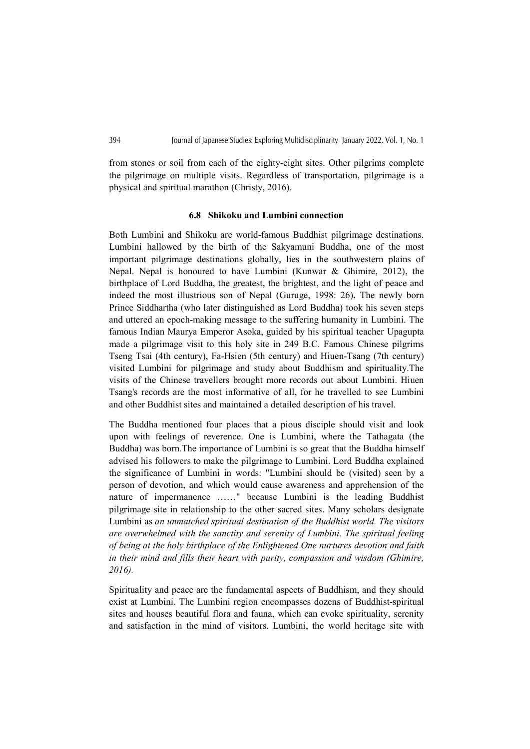from stones or soil from each of the eighty-eight sites. Other pilgrims complete the pilgrimage on multiple visits. Regardless of transportation, pilgrimage is a physical and spiritual marathon (Christy, 2016).

#### 6.8 Shikoku and Lumbini connection

Both Lumbini and Shikoku are world-famous Buddhist pilgrimage destinations. Lumbini hallowed by the birth of the Sakyamuni Buddha, one of the most important pilgrimage destinations globally, lies in the southwestern plains of Nepal. Nepal is honoured to have Lumbini (Kunwar & Ghimire, 2012), the birthplace of Lord Buddha, the greatest, the brightest, and the light of peace and indeed the most illustrious son of Nepal (Guruge, 1998: 26). The newly born Prince Siddhartha (who later distinguished as Lord Buddha) took his seven steps and uttered an epoch-making message to the suffering humanity in Lumbini. The famous Indian Maurya Emperor Asoka, guided by his spiritual teacher Upagupta made a pilgrimage visit to this holy site in 249 B.C. Famous Chinese pilgrims Tseng Tsai (4th century), Fa-Hsien (5th century) and Hiuen-Tsang (7th century) visited Lumbini for pilgrimage and study about Buddhism and spirituality.The visits of the Chinese travellers brought more records out about Lumbini. Hiuen Tsang's records are the most informative of all, for he travelled to see Lumbini and other Buddhist sites and maintained a detailed description of his travel.

The Buddha mentioned four places that a pious disciple should visit and look upon with feelings of reverence. One is Lumbini, where the Tathagata (the Buddha) was born.The importance of Lumbini is so great that the Buddha himself advised his followers to make the pilgrimage to Lumbini. Lord Buddha explained the significance of Lumbini in words: "Lumbini should be (visited) seen by a person of devotion, and which would cause awareness and apprehension of the nature of impermanence ……" because Lumbini is the leading Buddhist pilgrimage site in relationship to the other sacred sites. Many scholars designate Lumbini as an unmatched spiritual destination of the Buddhist world. The visitors are overwhelmed with the sanctity and serenity of Lumbini. The spiritual feeling of being at the holy birthplace of the Enlightened One nurtures devotion and faith in their mind and fills their heart with purity, compassion and wisdom (Ghimire, 2016).

Spirituality and peace are the fundamental aspects of Buddhism, and they should exist at Lumbini. The Lumbini region encompasses dozens of Buddhist-spiritual sites and houses beautiful flora and fauna, which can evoke spirituality, serenity and satisfaction in the mind of visitors. Lumbini, the world heritage site with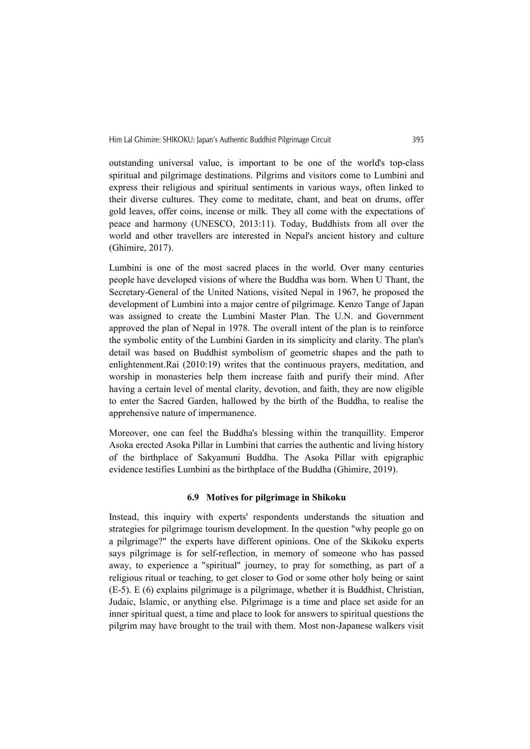outstanding universal value, is important to be one of the world's top-class spiritual and pilgrimage destinations. Pilgrims and visitors come to Lumbini and express their religious and spiritual sentiments in various ways, often linked to their diverse cultures. They come to meditate, chant, and beat on drums, offer gold leaves, offer coins, incense or milk. They all come with the expectations of peace and harmony (UNESCO, 2013:11). Today, Buddhists from all over the world and other travellers are interested in Nepal's ancient history and culture (Ghimire, 2017).

Lumbini is one of the most sacred places in the world. Over many centuries people have developed visions of where the Buddha was born. When U Thant, the Secretary-General of the United Nations, visited Nepal in 1967, he proposed the development of Lumbini into a major centre of pilgrimage. Kenzo Tange of Japan was assigned to create the Lumbini Master Plan. The U.N. and Government approved the plan of Nepal in 1978. The overall intent of the plan is to reinforce the symbolic entity of the Lumbini Garden in its simplicity and clarity. The plan's detail was based on Buddhist symbolism of geometric shapes and the path to enlightenment.Rai (2010:19) writes that the continuous prayers, meditation, and worship in monasteries help them increase faith and purify their mind. After having a certain level of mental clarity, devotion, and faith, they are now eligible to enter the Sacred Garden, hallowed by the birth of the Buddha, to realise the apprehensive nature of impermanence.

Moreover, one can feel the Buddha's blessing within the tranquillity. Emperor Asoka erected Asoka Pillar in Lumbini that carries the authentic and living history of the birthplace of Sakyamuni Buddha. The Asoka Pillar with epigraphic evidence testifies Lumbini as the birthplace of the Buddha (Ghimire, 2019).

# 6.9 Motives for pilgrimage in Shikoku

Instead, this inquiry with experts' respondents understands the situation and strategies for pilgrimage tourism development. In the question "why people go on a pilgrimage?" the experts have different opinions. One of the Skikoku experts says pilgrimage is for self-reflection, in memory of someone who has passed away, to experience a "spiritual" journey, to pray for something, as part of a religious ritual or teaching, to get closer to God or some other holy being or saint (E-5). E (6) explains pilgrimage is a pilgrimage, whether it is Buddhist, Christian, Judaic, Islamic, or anything else. Pilgrimage is a time and place set aside for an inner spiritual quest, a time and place to look for answers to spiritual questions the pilgrim may have brought to the trail with them. Most non-Japanese walkers visit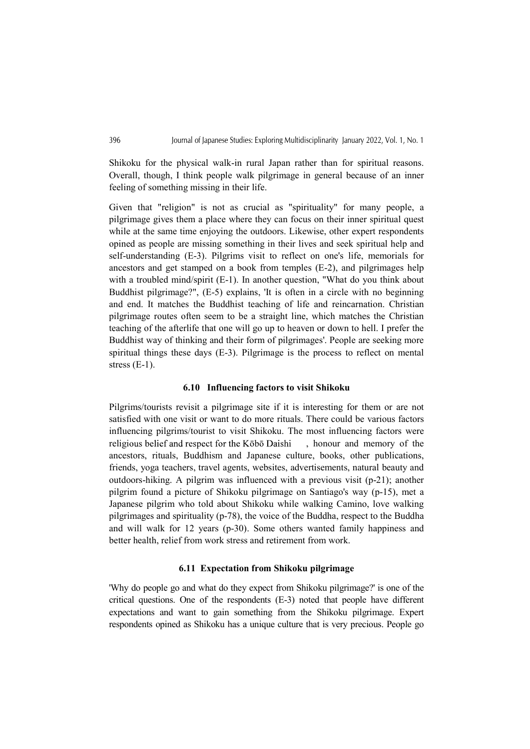Shikoku for the physical walk-in rural Japan rather than for spiritual reasons. Overall, though, I think people walk pilgrimage in general because of an inner feeling of something missing in their life.

Given that "religion" is not as crucial as "spirituality" for many people, a pilgrimage gives them a place where they can focus on their inner spiritual quest while at the same time enjoying the outdoors. Likewise, other expert respondents opined as people are missing something in their lives and seek spiritual help and self-understanding (E-3). Pilgrims visit to reflect on one's life, memorials for ancestors and get stamped on a book from temples (E-2), and pilgrimages help with a troubled mind/spirit (E-1). In another question, "What do you think about Buddhist pilgrimage?", (E-5) explains, 'It is often in a circle with no beginning and end. It matches the Buddhist teaching of life and reincarnation. Christian pilgrimage routes often seem to be a straight line, which matches the Christian teaching of the afterlife that one will go up to heaven or down to hell. I prefer the Buddhist way of thinking and their form of pilgrimages'. People are seeking more spiritual things these days (E-3). Pilgrimage is the process to reflect on mental stress (E-1).

# 6.10 Influencing factors to visit Shikoku

Pilgrims/tourists revisit a pilgrimage site if it is interesting for them or are not satisfied with one visit or want to do more rituals. There could be various factors influencing pilgrims/tourist to visit Shikoku. The most influencing factors were religious belief and respect for the Kōbō Daishi , honour and memory of the ancestors, rituals, Buddhism and Japanese culture, books, other publications, friends, yoga teachers, travel agents, websites, advertisements, natural beauty and outdoors-hiking. A pilgrim was influenced with a previous visit (p-21); another pilgrim found a picture of Shikoku pilgrimage on Santiago's way (p-15), met a Japanese pilgrim who told about Shikoku while walking Camino, love walking pilgrimages and spirituality (p-78), the voice of the Buddha, respect to the Buddha and will walk for 12 years (p-30). Some others wanted family happiness and better health, relief from work stress and retirement from work.

# 6.11 Expectation from Shikoku pilgrimage

'Why do people go and what do they expect from Shikoku pilgrimage?' is one of the critical questions. One of the respondents (E-3) noted that people have different expectations and want to gain something from the Shikoku pilgrimage. Expert respondents opined as Shikoku has a unique culture that is very precious. People go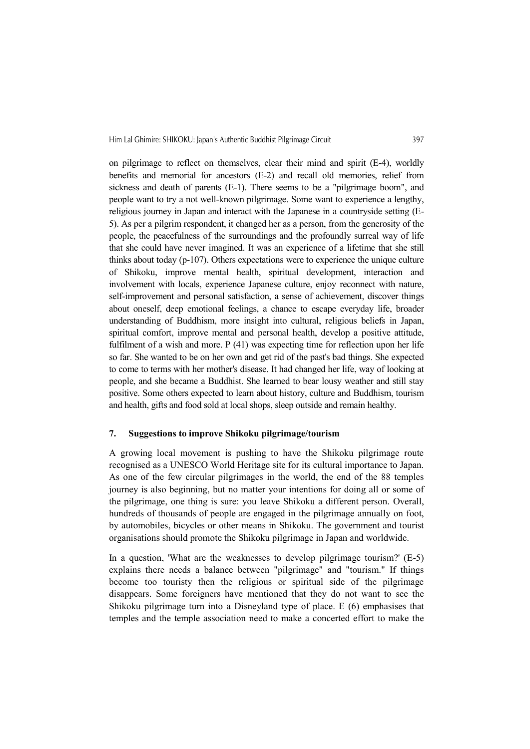on pilgrimage to reflect on themselves, clear their mind and spirit (E-4), worldly benefits and memorial for ancestors (E-2) and recall old memories, relief from sickness and death of parents (E-1). There seems to be a "pilgrimage boom", and people want to try a not well-known pilgrimage. Some want to experience a lengthy, religious journey in Japan and interact with the Japanese in a countryside setting (E-5). As per a pilgrim respondent, it changed her as a person, from the generosity of the people, the peacefulness of the surroundings and the profoundly surreal way of life that she could have never imagined. It was an experience of a lifetime that she still thinks about today (p-107). Others expectations were to experience the unique culture of Shikoku, improve mental health, spiritual development, interaction and involvement with locals, experience Japanese culture, enjoy reconnect with nature, self-improvement and personal satisfaction, a sense of achievement, discover things about oneself, deep emotional feelings, a chance to escape everyday life, broader understanding of Buddhism, more insight into cultural, religious beliefs in Japan, spiritual comfort, improve mental and personal health, develop a positive attitude, fulfilment of a wish and more. P (41) was expecting time for reflection upon her life so far. She wanted to be on her own and get rid of the past's bad things. She expected to come to terms with her mother's disease. It had changed her life, way of looking at people, and she became a Buddhist. She learned to bear lousy weather and still stay positive. Some others expected to learn about history, culture and Buddhism, tourism and health, gifts and food sold at local shops, sleep outside and remain healthy.

# 7. Suggestions to improve Shikoku pilgrimage/tourism

A growing local movement is pushing to have the Shikoku pilgrimage route recognised as a UNESCO World Heritage site for its cultural importance to Japan. As one of the few circular pilgrimages in the world, the end of the 88 temples journey is also beginning, but no matter your intentions for doing all or some of the pilgrimage, one thing is sure: you leave Shikoku a different person. Overall, hundreds of thousands of people are engaged in the pilgrimage annually on foot, by automobiles, bicycles or other means in Shikoku. The government and tourist organisations should promote the Shikoku pilgrimage in Japan and worldwide.

In a question, 'What are the weaknesses to develop pilgrimage tourism?' (E-5) explains there needs a balance between "pilgrimage" and "tourism." If things become too touristy then the religious or spiritual side of the pilgrimage disappears. Some foreigners have mentioned that they do not want to see the Shikoku pilgrimage turn into a Disneyland type of place. E (6) emphasises that temples and the temple association need to make a concerted effort to make the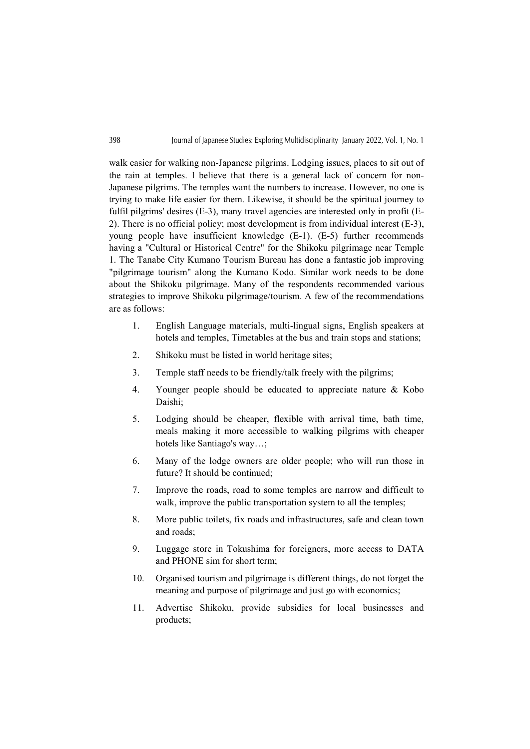walk easier for walking non-Japanese pilgrims. Lodging issues, places to sit out of the rain at temples. I believe that there is a general lack of concern for non-Japanese pilgrims. The temples want the numbers to increase. However, no one is trying to make life easier for them. Likewise, it should be the spiritual journey to fulfil pilgrims' desires (E-3), many travel agencies are interested only in profit (E-2). There is no official policy; most development is from individual interest (E-3), young people have insufficient knowledge (E-1). (E-5) further recommends having a "Cultural or Historical Centre" for the Shikoku pilgrimage near Temple 1. The Tanabe City Kumano Tourism Bureau has done a fantastic job improving "pilgrimage tourism" along the Kumano Kodo. Similar work needs to be done about the Shikoku pilgrimage. Many of the respondents recommended various strategies to improve Shikoku pilgrimage/tourism. A few of the recommendations are as follows:

- 1. English Language materials, multi-lingual signs, English speakers at hotels and temples, Timetables at the bus and train stops and stations;
- 2. Shikoku must be listed in world heritage sites;
- 3. Temple staff needs to be friendly/talk freely with the pilgrims;
- 4. Younger people should be educated to appreciate nature & Kobo Daishi;
- 5. Lodging should be cheaper, flexible with arrival time, bath time, meals making it more accessible to walking pilgrims with cheaper hotels like Santiago's way…;
- 6. Many of the lodge owners are older people; who will run those in future? It should be continued;
- 7. Improve the roads, road to some temples are narrow and difficult to walk, improve the public transportation system to all the temples;
- 8. More public toilets, fix roads and infrastructures, safe and clean town and roads;
- 9. Luggage store in Tokushima for foreigners, more access to DATA and PHONE sim for short term;
- 10. Organised tourism and pilgrimage is different things, do not forget the meaning and purpose of pilgrimage and just go with economics;
- 11. Advertise Shikoku, provide subsidies for local businesses and products;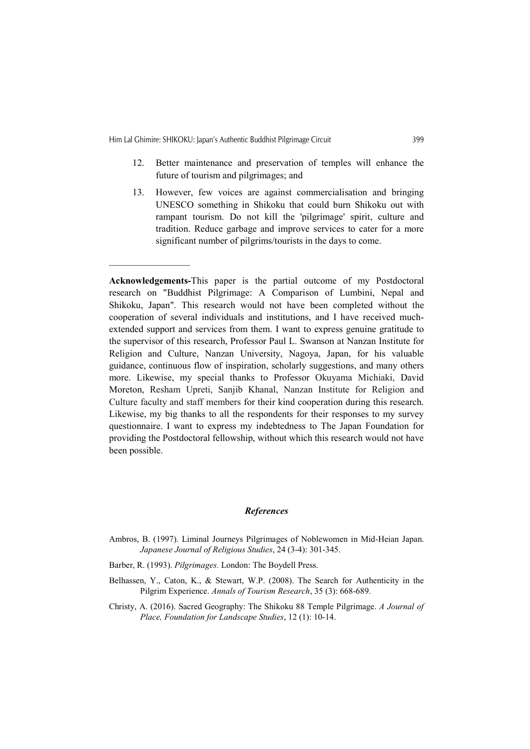- 12. Better maintenance and preservation of temples will enhance the future of tourism and pilgrimages; and
- 13. However, few voices are against commercialisation and bringing UNESCO something in Shikoku that could burn Shikoku out with rampant tourism. Do not kill the 'pilgrimage' spirit, culture and tradition. Reduce garbage and improve services to cater for a more significant number of pilgrims/tourists in the days to come.

# References

- Ambros, B. (1997). Liminal Journeys Pilgrimages of Noblewomen in Mid-Heian Japan. Japanese Journal of Religious Studies, 24 (3-4): 301-345.
- Barber, R. (1993). Pilgrimages. London: The Boydell Press.
- Belhassen, Y., Caton, K., & Stewart, W.P. (2008). The Search for Authenticity in the Pilgrim Experience. Annals of Tourism Research, 35 (3): 668-689.
- Christy, A. (2016). Sacred Geography: The Shikoku 88 Temple Pilgrimage. A Journal of Place, Foundation for Landscape Studies, 12 (1): 10-14.

Acknowledgements-This paper is the partial outcome of my Postdoctoral research on "Buddhist Pilgrimage: A Comparison of Lumbini, Nepal and Shikoku, Japan". This research would not have been completed without the cooperation of several individuals and institutions, and I have received muchextended support and services from them. I want to express genuine gratitude to the supervisor of this research, Professor Paul L. Swanson at Nanzan Institute for Religion and Culture, Nanzan University, Nagoya, Japan, for his valuable guidance, continuous flow of inspiration, scholarly suggestions, and many others more. Likewise, my special thanks to Professor Okuyama Michiaki, David Moreton, Resham Upreti, Sanjib Khanal, Nanzan Institute for Religion and Culture faculty and staff members for their kind cooperation during this research. Likewise, my big thanks to all the respondents for their responses to my survey questionnaire. I want to express my indebtedness to The Japan Foundation for providing the Postdoctoral fellowship, without which this research would not have been possible.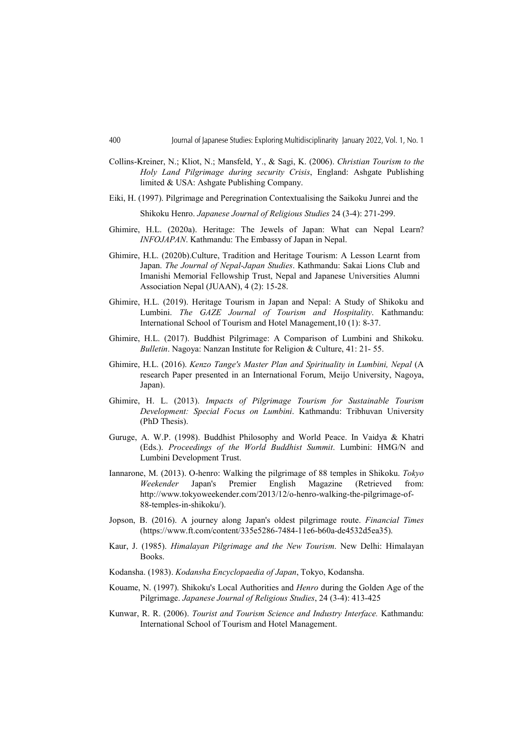- Collins-Kreiner, N.; Kliot, N.; Mansfeld, Y., & Sagi, K. (2006). Christian Tourism to the Holy Land Pilgrimage during security Crisis, England: Ashgate Publishing limited & USA: Ashgate Publishing Company.
- Eiki, H. (1997). Pilgrimage and Peregrination Contextualising the Saikoku Junrei and the Shikoku Henro. Japanese Journal of Religious Studies 24 (3-4): 271-299.
- Ghimire, H.L. (2020a). Heritage: The Jewels of Japan: What can Nepal Learn? INFOJAPAN. Kathmandu: The Embassy of Japan in Nepal.
- Ghimire, H.L. (2020b).Culture, Tradition and Heritage Tourism: A Lesson Learnt from Japan. The Journal of Nepal-Japan Studies. Kathmandu: Sakai Lions Club and Imanishi Memorial Fellowship Trust, Nepal and Japanese Universities Alumni Association Nepal (JUAAN), 4 (2): 15-28.
- Ghimire, H.L. (2019). Heritage Tourism in Japan and Nepal: A Study of Shikoku and Lumbini. The GAZE Journal of Tourism and Hospitality. Kathmandu: International School of Tourism and Hotel Management,10 (1): 8-37.
- Ghimire, H.L. (2017). Buddhist Pilgrimage: A Comparison of Lumbini and Shikoku. Bulletin. Nagoya: Nanzan Institute for Religion & Culture, 41: 21- 55.
- Ghimire, H.L. (2016). Kenzo Tange's Master Plan and Spirituality in Lumbini, Nepal (A research Paper presented in an International Forum, Meijo University, Nagoya, Japan).
- Ghimire, H. L. (2013). Impacts of Pilgrimage Tourism for Sustainable Tourism Development: Special Focus on Lumbini. Kathmandu: Tribhuvan University (PhD Thesis).
- Guruge, A. W.P. (1998). Buddhist Philosophy and World Peace. In Vaidya & Khatri (Eds.). Proceedings of the World Buddhist Summit. Lumbini: HMG/N and Lumbini Development Trust.
- Iannarone, M. (2013). O-henro: Walking the pilgrimage of 88 temples in Shikoku. Tokyo Weekender Japan's Premier English Magazine (Retrieved from: http://www.tokyoweekender.com/2013/12/o-henro-walking-the-pilgrimage-of-88-temples-in-shikoku/).
- Jopson, B. (2016). A journey along Japan's oldest pilgrimage route. Financial Times (https://www.ft.com/content/335e5286-7484-11e6-b60a-de4532d5ea35).
- Kaur, J. (1985). Himalayan Pilgrimage and the New Tourism. New Delhi: Himalayan Books.
- Kodansha. (1983). Kodansha Encyclopaedia of Japan, Tokyo, Kodansha.
- Kouame, N. (1997). Shikoku's Local Authorities and *Henro* during the Golden Age of the Pilgrimage. Japanese Journal of Religious Studies, 24 (3-4): 413-425
- Kunwar, R. R. (2006). Tourist and Tourism Science and Industry Interface. Kathmandu: International School of Tourism and Hotel Management.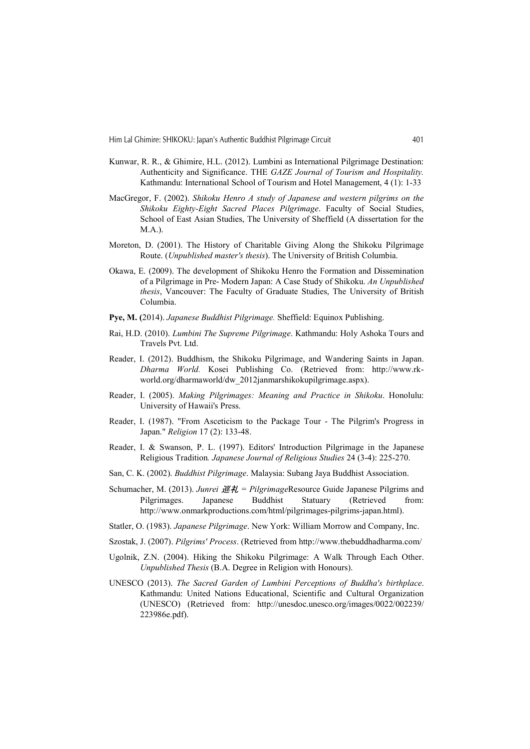- Kunwar, R. R., & Ghimire, H.L. (2012). Lumbini as International Pilgrimage Destination: Authenticity and Significance. THE GAZE Journal of Tourism and Hospitality. Kathmandu: International School of Tourism and Hotel Management, 4 (1): 1-33
- MacGregor, F. (2002). Shikoku Henro A study of Japanese and western pilgrims on the Shikoku Eighty-Eight Sacred Places Pilgrimage. Faculty of Social Studies, School of East Asian Studies, The University of Sheffield (A dissertation for the M.A.).
- Moreton, D. (2001). The History of Charitable Giving Along the Shikoku Pilgrimage Route. (Unpublished master's thesis). The University of British Columbia.
- Okawa, E. (2009). The development of Shikoku Henro the Formation and Dissemination of a Pilgrimage in Pre- Modern Japan: A Case Study of Shikoku. An Unpublished thesis, Vancouver: The Faculty of Graduate Studies, The University of British Columbia.
- Pye, M. (2014). Japanese Buddhist Pilgrimage. Sheffield: Equinox Publishing.
- Rai, H.D. (2010). Lumbini The Supreme Pilgrimage. Kathmandu: Holy Ashoka Tours and Travels Pvt. Ltd.
- Reader, I. (2012). Buddhism, the Shikoku Pilgrimage, and Wandering Saints in Japan. Dharma World. Kosei Publishing Co. (Retrieved from: http://www.rkworld.org/dharmaworld/dw\_2012janmarshikokupilgrimage.aspx).
- Reader, I. (2005). Making Pilgrimages: Meaning and Practice in Shikoku. Honolulu: University of Hawaii's Press.
- Reader, I. (1987). "From Asceticism to the Package Tour The Pilgrim's Progress in Japan." Religion 17 (2): 133-48.
- Reader, I. & Swanson, P. L. (1997). Editors' Introduction Pilgrimage in the Japanese Religious Tradition. Japanese Journal of Religious Studies 24 (3-4): 225-270.
- San, C. K. (2002). Buddhist Pilgrimage. Malaysia: Subang Jaya Buddhist Association.
- Schumacher, M. (2013). Junrei  $\mathcal{H} = Pilarimage$ Resource Guide Japanese Pilgrims and Pilgrimages. Japanese Buddhist Statuary (Retrieved from: http://www.onmarkproductions.com/html/pilgrimages-pilgrims-japan.html).
- Statler, O. (1983). Japanese Pilgrimage. New York: William Morrow and Company, Inc.
- Szostak, J. (2007). Pilgrims' Process. (Retrieved from http://www.thebuddhadharma.com/
- Ugolnik, Z.N. (2004). Hiking the Shikoku Pilgrimage: A Walk Through Each Other. Unpublished Thesis (B.A. Degree in Religion with Honours).
- UNESCO (2013). The Sacred Garden of Lumbini Perceptions of Buddha's birthplace. Kathmandu: United Nations Educational, Scientific and Cultural Organization (UNESCO) (Retrieved from: http://unesdoc.unesco.org/images/0022/002239/ 223986e.pdf).